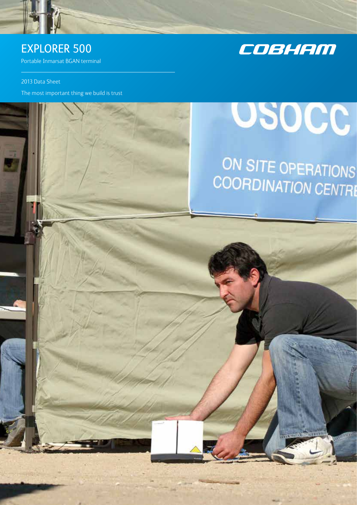

### EXPLORER 500

Portable Inmarsat BGAN terminal

2013 Data Sheet

The most important thing we build is trust



## **OSOCC**

# ON SITE OPERATIONS<br>COORDINATION CENTRE